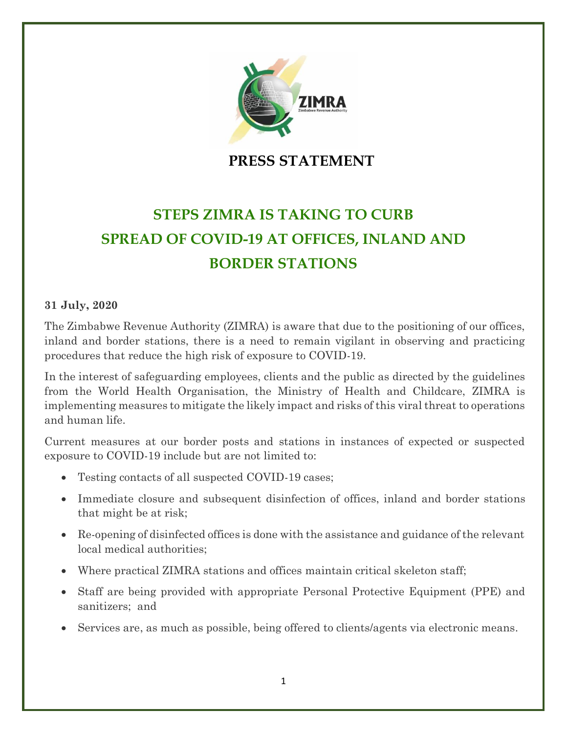

**PRESS STATEMENT**

## **STEPS ZIMRA IS TAKING TO CURB SPREAD OF COVID-19 AT OFFICES, INLAND AND BORDER STATIONS**

## **31 July, 2020**

The Zimbabwe Revenue Authority (ZIMRA) is aware that due to the positioning of our offices, inland and border stations, there is a need to remain vigilant in observing and practicing procedures that reduce the high risk of exposure to COVID-19.

In the interest of safeguarding employees, clients and the public as directed by the guidelines from the World Health Organisation, the Ministry of Health and Childcare, ZIMRA is implementing measures to mitigate the likely impact and risks of this viral threat to operations and human life.

Current measures at our border posts and stations in instances of expected or suspected exposure to COVID-19 include but are not limited to:

- Testing contacts of all suspected COVID-19 cases;
- Immediate closure and subsequent disinfection of offices, inland and border stations that might be at risk;
- Re-opening of disinfected offices is done with the assistance and guidance of the relevant local medical authorities;
- Where practical ZIMRA stations and offices maintain critical skeleton staff;
- Staff are being provided with appropriate Personal Protective Equipment (PPE) and sanitizers; and
- Services are, as much as possible, being offered to clients/agents via electronic means.